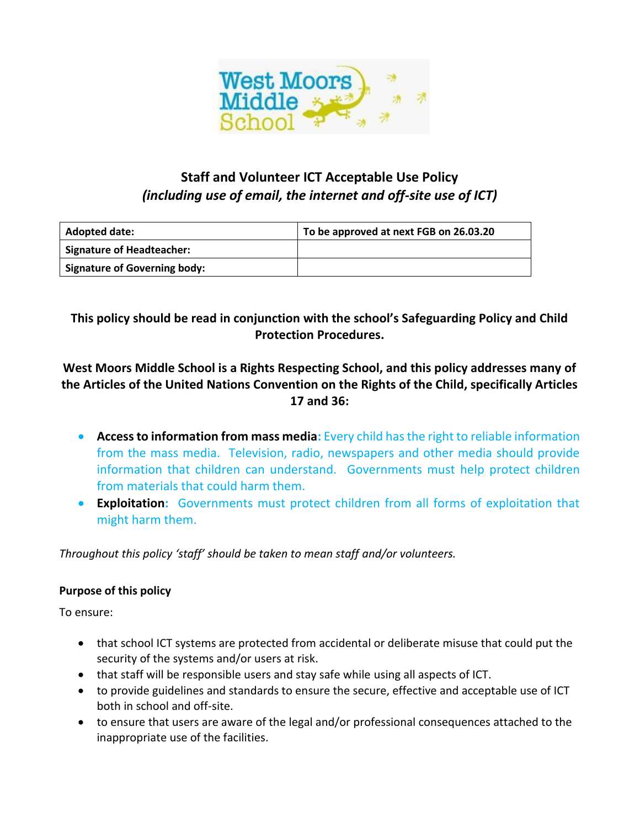

# **Staff and Volunteer ICT Acceptable Use Policy**  *(including use of email, the internet and off-site use of ICT)*

| <b>Adopted date:</b>                | To be approved at next FGB on 26.03.20 |
|-------------------------------------|----------------------------------------|
| <b>Signature of Headteacher:</b>    |                                        |
| <b>Signature of Governing body:</b> |                                        |

**This policy should be read in conjunction with the school's Safeguarding Policy and Child Protection Procedures.** 

# **West Moors Middle School is a Rights Respecting School, and this policy addresses many of the Articles of the United Nations Convention on the Rights of the Child, specifically Articles 17 and 36:**

- **Access to information from mass media:** Every child has the right to reliable information from the mass media. Television, radio, newspapers and other media should provide information that children can understand. Governments must help protect children from materials that could harm them.
- **Exploitation:** Governments must protect children from all forms of exploitation that might harm them.

*Throughout this policy 'staff' should be taken to mean staff and/or volunteers.* 

# **Purpose of this policy**

To ensure:

- that school ICT systems are protected from accidental or deliberate misuse that could put the security of the systems and/or users at risk.
- that staff will be responsible users and stay safe while using all aspects of ICT.
- to provide guidelines and standards to ensure the secure, effective and acceptable use of ICT both in school and off-site.
- to ensure that users are aware of the legal and/or professional consequences attached to the inappropriate use of the facilities.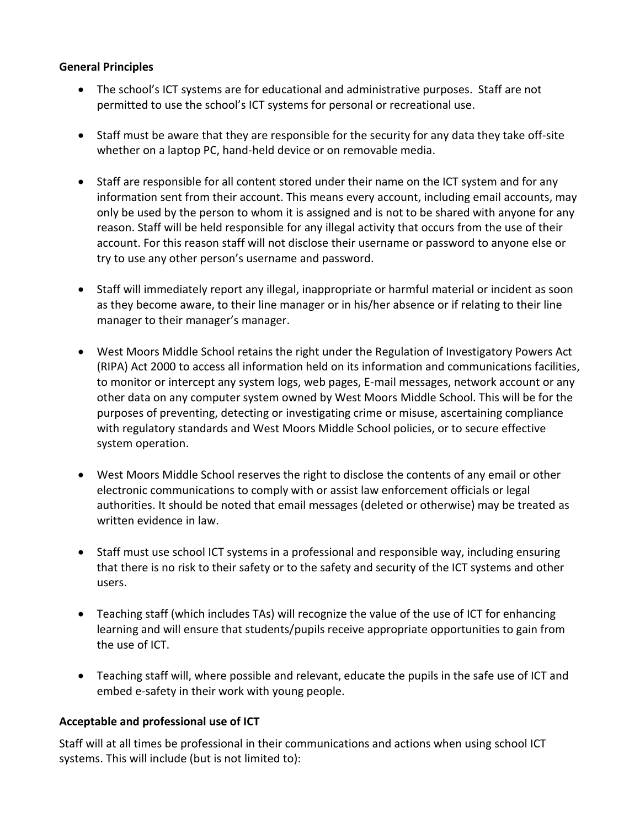#### **General Principles**

- The school's ICT systems are for educational and administrative purposes. Staff are not permitted to use the school's ICT systems for personal or recreational use.
- Staff must be aware that they are responsible for the security for any data they take off-site whether on a laptop PC, hand-held device or on removable media.
- Staff are responsible for all content stored under their name on the ICT system and for any information sent from their account. This means every account, including email accounts, may only be used by the person to whom it is assigned and is not to be shared with anyone for any reason. Staff will be held responsible for any illegal activity that occurs from the use of their account. For this reason staff will not disclose their username or password to anyone else or try to use any other person's username and password.
- Staff will immediately report any illegal, inappropriate or harmful material or incident as soon as they become aware, to their line manager or in his/her absence or if relating to their line manager to their manager's manager.
- West Moors Middle School retains the right under the Regulation of Investigatory Powers Act (RIPA) Act 2000 to access all information held on its information and communications facilities, to monitor or intercept any system logs, web pages, E-mail messages, network account or any other data on any computer system owned by West Moors Middle School. This will be for the purposes of preventing, detecting or investigating crime or misuse, ascertaining compliance with regulatory standards and West Moors Middle School policies, or to secure effective system operation.
- West Moors Middle School reserves the right to disclose the contents of any email or other electronic communications to comply with or assist law enforcement officials or legal authorities. It should be noted that email messages (deleted or otherwise) may be treated as written evidence in law.
- Staff must use school ICT systems in a professional and responsible way, including ensuring that there is no risk to their safety or to the safety and security of the ICT systems and other users.
- Teaching staff (which includes TAs) will recognize the value of the use of ICT for enhancing learning and will ensure that students/pupils receive appropriate opportunities to gain from the use of ICT.
- Teaching staff will, where possible and relevant, educate the pupils in the safe use of ICT and embed e-safety in their work with young people.

### **Acceptable and professional use of ICT**

Staff will at all times be professional in their communications and actions when using school ICT systems. This will include (but is not limited to):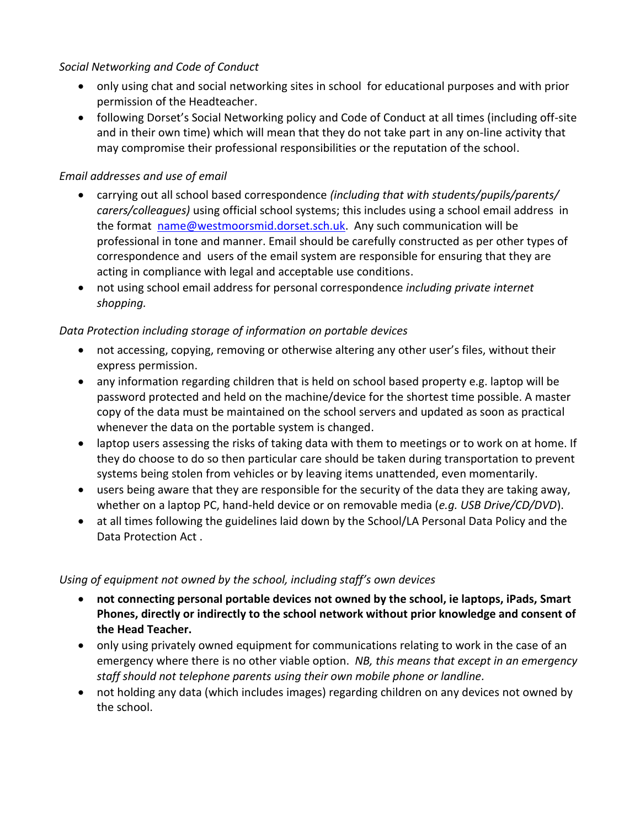*Social Networking and Code of Conduct* 

- only using chat and social networking sites in school for educational purposes and with prior permission of the Headteacher.
- following Dorset's Social Networking policy and Code of Conduct at all times (including off-site and in their own time) which will mean that they do not take part in any on-line activity that may compromise their professional responsibilities or the reputation of the school.

## *Email addresses and use of email*

- carrying out all school based correspondence *(including that with students/pupils/parents/ carers/colleagues)* using official school systems; this includes using a school email address in the format [name@westmoorsmid.dorset.sch.uk.](mailto:name@westmoorsmid.dorset.sch.uk) Any such communication will be professional in tone and manner. Email should be carefully constructed as per other types of correspondence and users of the email system are responsible for ensuring that they are acting in compliance with legal and acceptable use conditions.
- not using school email address for personal correspondence *including private internet shopping.*

### *Data Protection including storage of information on portable devices*

- not accessing, copying, removing or otherwise altering any other user's files, without their express permission.
- any information regarding children that is held on school based property e.g. laptop will be password protected and held on the machine/device for the shortest time possible. A master copy of the data must be maintained on the school servers and updated as soon as practical whenever the data on the portable system is changed.
- laptop users assessing the risks of taking data with them to meetings or to work on at home. If they do choose to do so then particular care should be taken during transportation to prevent systems being stolen from vehicles or by leaving items unattended, even momentarily.
- users being aware that they are responsible for the security of the data they are taking away, whether on a laptop PC, hand-held device or on removable media (*e.g. USB Drive/CD/DVD*).
- at all times following the guidelines laid down by the School/LA Personal Data Policy and the Data Protection Act .

### *Using of equipment not owned by the school, including staff's own devices*

- **not connecting personal portable devices not owned by the school, ie laptops, iPads, Smart Phones, directly or indirectly to the school network without prior knowledge and consent of the Head Teacher.**
- only using privately owned equipment for communications relating to work in the case of an emergency where there is no other viable option. *NB, this means that except in an emergency staff should not telephone parents using their own mobile phone or landline.*
- not holding any data (which includes images) regarding children on any devices not owned by the school.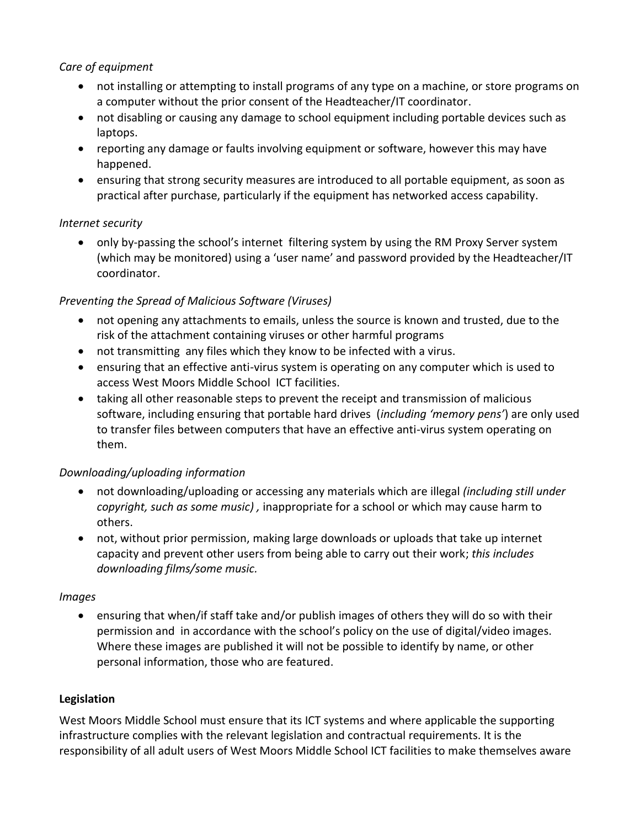### *Care of equipment*

- not installing or attempting to install programs of any type on a machine, or store programs on a computer without the prior consent of the Headteacher/IT coordinator.
- not disabling or causing any damage to school equipment including portable devices such as laptops.
- reporting any damage or faults involving equipment or software, however this may have happened.
- ensuring that strong security measures are introduced to all portable equipment, as soon as practical after purchase, particularly if the equipment has networked access capability.

#### *Internet security*

 only by-passing the school's internet filtering system by using the RM Proxy Server system (which may be monitored) using a 'user name' and password provided by the Headteacher/IT coordinator.

### *Preventing the Spread of Malicious Software (Viruses)*

- not opening any attachments to emails, unless the source is known and trusted, due to the risk of the attachment containing viruses or other harmful programs
- not transmitting any files which they know to be infected with a virus.
- ensuring that an effective anti-virus system is operating on any computer which is used to access West Moors Middle School ICT facilities.
- taking all other reasonable steps to prevent the receipt and transmission of malicious software, including ensuring that portable hard drives (*including 'memory pens'*) are only used to transfer files between computers that have an effective anti-virus system operating on them.

### *Downloading/uploading information*

- not downloading/uploading or accessing any materials which are illegal *(including still under copyright, such as some music) ,* inappropriate for a school or which may cause harm to others.
- not, without prior permission, making large downloads or uploads that take up internet capacity and prevent other users from being able to carry out their work; *this includes downloading films/some music.*

### *Images*

 ensuring that when/if staff take and/or publish images of others they will do so with their permission and in accordance with the school's policy on the use of digital/video images. Where these images are published it will not be possible to identify by name, or other personal information, those who are featured.

### **Legislation**

West Moors Middle School must ensure that its ICT systems and where applicable the supporting infrastructure complies with the relevant legislation and contractual requirements. It is the responsibility of all adult users of West Moors Middle School ICT facilities to make themselves aware